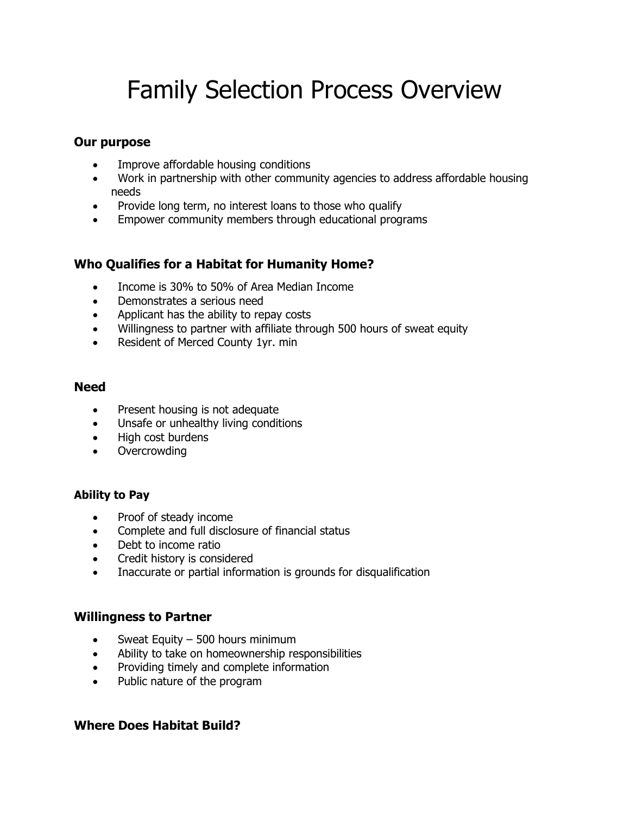# Family Selection Process Overview

### **Our purpose**

- Improve affordable housing conditions
- Work in partnership with other community agencies to address affordable housing needs
- Provide long term, no interest loans to those who qualify
- Empower community members through educational programs

## **Who Qualifies for a Habitat for Humanity Home?**

- Income is 30% to 50% of Area Median Income
- Demonstrates a serious need
- Applicant has the ability to repay costs
- Willingness to partner with affiliate through 500 hours of sweat equity
- Resident of Merced County 1yr. min

## **Need**

- Present housing is not adequate
- Unsafe or unhealthy living conditions
- High cost burdens
- Overcrowding

## **Ability to Pay**

- Proof of steady income
- Complete and full disclosure of financial status
- Debt to income ratio
- Credit history is considered
- Inaccurate or partial information is grounds for disqualification

## **Willingness to Partner**

- Sweat Equity 500 hours minimum
- Ability to take on homeownership responsibilities
- Providing timely and complete information
- Public nature of the program

## **Where Does Habitat Build?**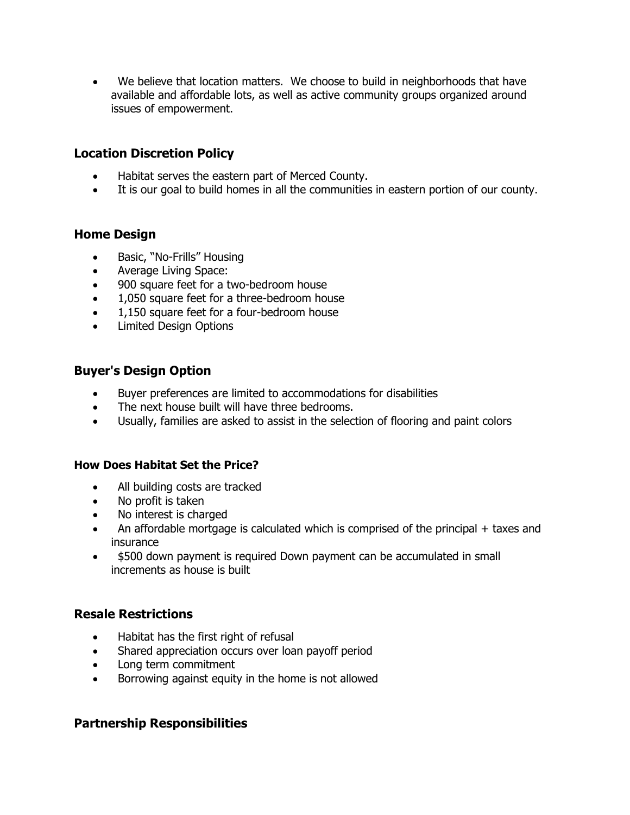• We believe that location matters. We choose to build in neighborhoods that have available and affordable lots, as well as active community groups organized around issues of empowerment.

## **Location Discretion Policy**

- Habitat serves the eastern part of Merced County.
- It is our goal to build homes in all the communities in eastern portion of our county.

#### **Home Design**

- Basic, "No-Frills" Housing
- Average Living Space:
- 900 square feet for a two-bedroom house
- 1,050 square feet for a three-bedroom house
- 1,150 square feet for a four-bedroom house
- Limited Design Options

#### **Buyer's Design Option**

- Buyer preferences are limited to accommodations for disabilities
- The next house built will have three bedrooms.
- Usually, families are asked to assist in the selection of flooring and paint colors

#### **How Does Habitat Set the Price?**

- All building costs are tracked
- No profit is taken
- No interest is charged
- An affordable mortgage is calculated which is comprised of the principal + taxes and insurance
- \$500 down payment is required Down payment can be accumulated in small increments as house is built

#### **Resale Restrictions**

- Habitat has the first right of refusal
- Shared appreciation occurs over loan payoff period
- Long term commitment
- Borrowing against equity in the home is not allowed

#### **Partnership Responsibilities**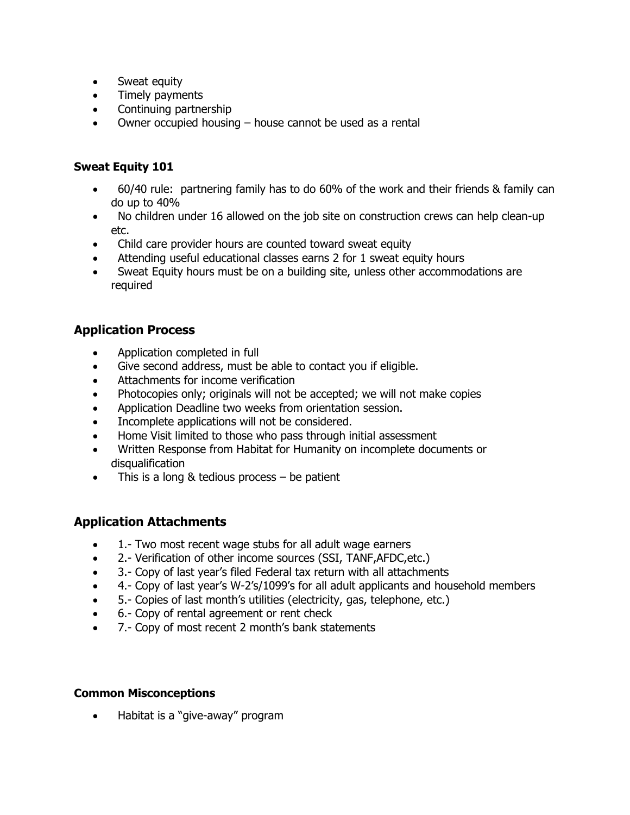- Sweat equity
- Timely payments
- Continuing partnership
- Owner occupied housing house cannot be used as a rental

### **Sweat Equity 101**

- 60/40 rule: partnering family has to do 60% of the work and their friends & family can do up to 40%
- No children under 16 allowed on the job site on construction crews can help clean-up etc.
- Child care provider hours are counted toward sweat equity
- Attending useful educational classes earns 2 for 1 sweat equity hours
- Sweat Equity hours must be on a building site, unless other accommodations are required

## **Application Process**

- Application completed in full
- Give second address, must be able to contact you if eligible.
- Attachments for income verification
- Photocopies only; originals will not be accepted; we will not make copies
- Application Deadline two weeks from orientation session.
- Incomplete applications will not be considered.
- Home Visit limited to those who pass through initial assessment
- Written Response from Habitat for Humanity on incomplete documents or disqualification
- This is a long & tedious process be patient

## **Application Attachments**

- 1.- Two most recent wage stubs for all adult wage earners
- 2.- Verification of other income sources (SSI, TANF,AFDC,etc.)
- 3.- Copy of last year's filed Federal tax return with all attachments
- 4.- Copy of last year's W-2's/1099's for all adult applicants and household members
- 5.- Copies of last month's utilities (electricity, gas, telephone, etc.)
- 6.- Copy of rental agreement or rent check
- 7.- Copy of most recent 2 month's bank statements

#### **Common Misconceptions**

• Habitat is a "give-away" program